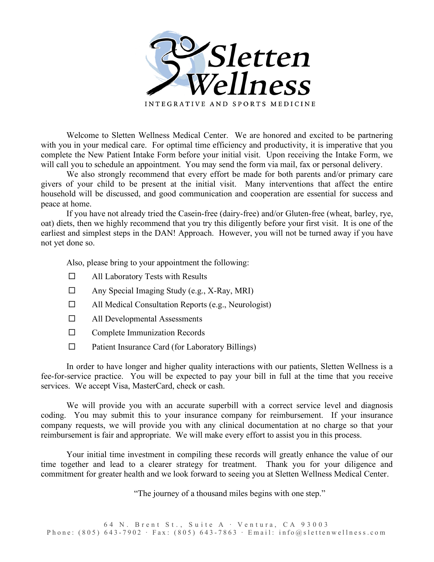

Welcome to Sletten Wellness Medical Center. We are honored and excited to be partnering with you in your medical care. For optimal time efficiency and productivity, it is imperative that you complete the New Patient Intake Form before your initial visit. Upon receiving the Intake Form, we will call you to schedule an appointment. You may send the form via mail, fax or personal delivery.

We also strongly recommend that every effort be made for both parents and/or primary care givers of your child to be present at the initial visit. Many interventions that affect the entire household will be discussed, and good communication and cooperation are essential for success and peace at home.

If you have not already tried the Casein-free (dairy-free) and/or Gluten-free (wheat, barley, rye, oat) diets, then we highly recommend that you try this diligently before your first visit. It is one of the earliest and simplest steps in the DAN! Approach. However, you will not be turned away if you have not yet done so.

Also, please bring to your appointment the following:

- $\Box$  All Laboratory Tests with Results
- $\Box$  Any Special Imaging Study (e.g., X-Ray, MRI)
- All Medical Consultation Reports (e.g., Neurologist)
- □ All Developmental Assessments
- $\square$  Complete Immunization Records
- $\Box$  Patient Insurance Card (for Laboratory Billings)

In order to have longer and higher quality interactions with our patients, Sletten Wellness is a fee-for-service practice. You will be expected to pay your bill in full at the time that you receive services. We accept Visa, MasterCard, check or cash.

We will provide you with an accurate superbill with a correct service level and diagnosis coding. You may submit this to your insurance company for reimbursement. If your insurance company requests, we will provide you with any clinical documentation at no charge so that your reimbursement is fair and appropriate. We will make every effort to assist you in this process.

Your initial time investment in compiling these records will greatly enhance the value of our time together and lead to a clearer strategy for treatment. Thank you for your diligence and commitment for greater health and we look forward to seeing you at Sletten Wellness Medical Center.

"The journey of a thousand miles begins with one step."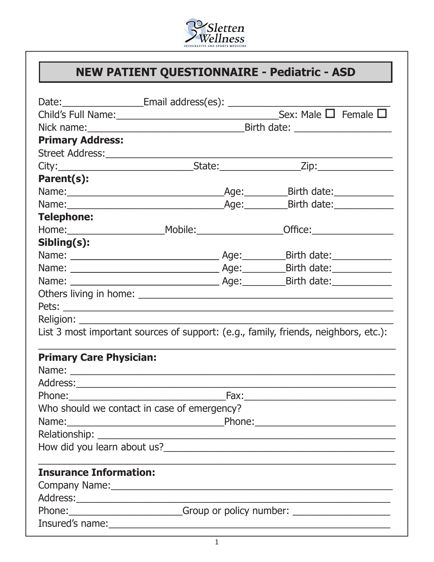

# **NEW PATIENT QUESTIONNAIRE - Pediatric - ASD**

| Date: __________________________Email address(es): _____________________________                                                                                                                                                     |  |                                      |                           |
|--------------------------------------------------------------------------------------------------------------------------------------------------------------------------------------------------------------------------------------|--|--------------------------------------|---------------------------|
|                                                                                                                                                                                                                                      |  | Sex: Male $\square$ Female $\square$ |                           |
|                                                                                                                                                                                                                                      |  |                                      |                           |
| <b>Primary Address:</b>                                                                                                                                                                                                              |  |                                      |                           |
|                                                                                                                                                                                                                                      |  |                                      |                           |
|                                                                                                                                                                                                                                      |  |                                      |                           |
| Parent(s):                                                                                                                                                                                                                           |  |                                      |                           |
|                                                                                                                                                                                                                                      |  |                                      | _Birth date:_____________ |
|                                                                                                                                                                                                                                      |  |                                      |                           |
| <b>Telephone:</b>                                                                                                                                                                                                                    |  |                                      |                           |
|                                                                                                                                                                                                                                      |  |                                      |                           |
| Sibling(s):                                                                                                                                                                                                                          |  |                                      |                           |
|                                                                                                                                                                                                                                      |  |                                      |                           |
|                                                                                                                                                                                                                                      |  |                                      |                           |
|                                                                                                                                                                                                                                      |  |                                      |                           |
|                                                                                                                                                                                                                                      |  |                                      |                           |
|                                                                                                                                                                                                                                      |  |                                      |                           |
|                                                                                                                                                                                                                                      |  |                                      |                           |
| List 3 most important sources of support: (e.g., family, friends, neighbors, etc.):                                                                                                                                                  |  |                                      |                           |
| <b>Primary Care Physician:</b>                                                                                                                                                                                                       |  |                                      |                           |
|                                                                                                                                                                                                                                      |  |                                      |                           |
|                                                                                                                                                                                                                                      |  |                                      |                           |
|                                                                                                                                                                                                                                      |  |                                      |                           |
| Who should we contact in case of emergency?                                                                                                                                                                                          |  |                                      |                           |
|                                                                                                                                                                                                                                      |  |                                      |                           |
|                                                                                                                                                                                                                                      |  |                                      |                           |
|                                                                                                                                                                                                                                      |  |                                      |                           |
|                                                                                                                                                                                                                                      |  |                                      |                           |
| <b>Insurance Information:</b>                                                                                                                                                                                                        |  |                                      |                           |
|                                                                                                                                                                                                                                      |  |                                      |                           |
| Address: <u>example and a series of the series of the series of the series of the series of the series of the series of the series of the series of the series of the series of the series of the series of the series of the se</u> |  |                                      |                           |
| Phone: Comparison Choicy number: Comparison Choicy number:                                                                                                                                                                           |  |                                      |                           |
|                                                                                                                                                                                                                                      |  |                                      |                           |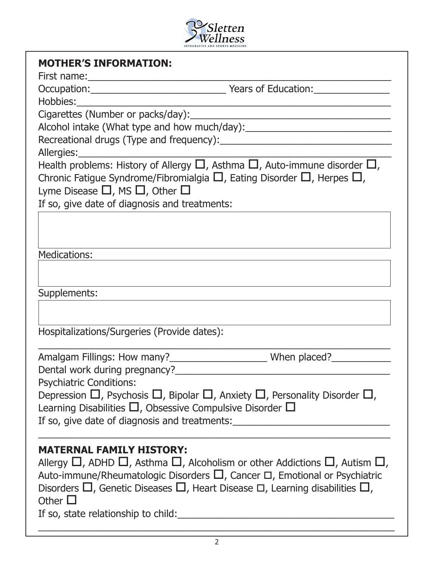

| <b>MOTHER'S INFORMATION:</b>                                                                                                                                                                                                                                                                                                                                                                    |  |
|-------------------------------------------------------------------------------------------------------------------------------------------------------------------------------------------------------------------------------------------------------------------------------------------------------------------------------------------------------------------------------------------------|--|
|                                                                                                                                                                                                                                                                                                                                                                                                 |  |
| <u> 1980 - Johann John Harry Barbara, martx</u>                                                                                                                                                                                                                                                                                                                                                 |  |
|                                                                                                                                                                                                                                                                                                                                                                                                 |  |
| Alcohol intake (What type and how much/day): ___________________________________                                                                                                                                                                                                                                                                                                                |  |
|                                                                                                                                                                                                                                                                                                                                                                                                 |  |
|                                                                                                                                                                                                                                                                                                                                                                                                 |  |
| Chronic Fatigue Syndrome/Fibromialgia $\square$ , Eating Disorder $\square$ , Herpes $\square$ ,<br>Lyme Disease $\square$ , MS $\square$ , Other $\square$<br>If so, give date of diagnosis and treatments:                                                                                                                                                                                    |  |
|                                                                                                                                                                                                                                                                                                                                                                                                 |  |
| <b>Medications:</b>                                                                                                                                                                                                                                                                                                                                                                             |  |
| Supplements:                                                                                                                                                                                                                                                                                                                                                                                    |  |
| Hospitalizations/Surgeries (Provide dates):                                                                                                                                                                                                                                                                                                                                                     |  |
|                                                                                                                                                                                                                                                                                                                                                                                                 |  |
| Dental work during pregnancy?______________                                                                                                                                                                                                                                                                                                                                                     |  |
| <b>Psychiatric Conditions:</b>                                                                                                                                                                                                                                                                                                                                                                  |  |
| Depression $\Box$ , Psychosis $\Box$ , Bipolar $\Box$ , Anxiety $\Box$ , Personality Disorder $\Box$ ,                                                                                                                                                                                                                                                                                          |  |
| Learning Disabilities $\Box$ , Obsessive Compulsive Disorder $\Box$                                                                                                                                                                                                                                                                                                                             |  |
| If so, give date of diagnosis and treatments: __________________________________                                                                                                                                                                                                                                                                                                                |  |
| <b>MATERNAL FAMILY HISTORY:</b><br>Allergy $\Box$ , ADHD $\Box$ , Asthma $\Box$ , Alcoholism or other Addictions $\Box$ , Autism $\Box$ ,<br>Auto-immune/Rheumatologic Disorders $\Box$ , Cancer $\Box$ , Emotional or Psychiatric<br>Disorders $\Box$ , Genetic Diseases $\Box$ , Heart Disease $\Box$ , Learning disabilities $\Box$ ,<br>Other $\Box$<br>If so, state relationship to child: |  |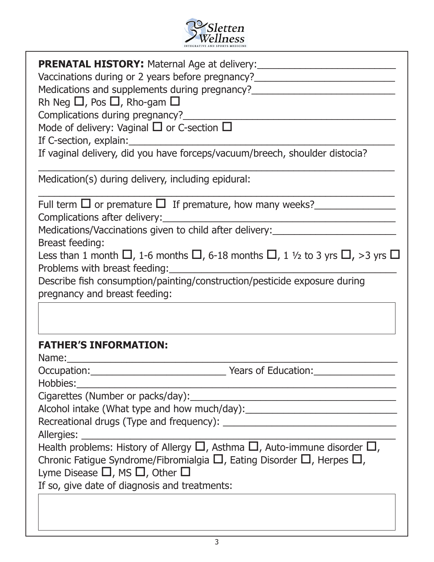

| <b>PRENATAL HISTORY:</b> Maternal Age at delivery: ___________________________________<br>Vaccinations during or 2 years before pregnancy?<br>Medications and supplements during pregnancy?<br>Rh Neg $\Box$ , Pos $\Box$ , Rho-gam $\Box$<br>Complications during pregnancy?<br>Mode of delivery: Vaginal $\Box$ or C-section $\Box$<br>If C-section, explain:<br>If vaginal delivery, did you have forceps/vacuum/breech, shoulder distocia? |
|------------------------------------------------------------------------------------------------------------------------------------------------------------------------------------------------------------------------------------------------------------------------------------------------------------------------------------------------------------------------------------------------------------------------------------------------|
| Medication(s) during delivery, including epidural:                                                                                                                                                                                                                                                                                                                                                                                             |
| Full term $\Box$ or premature $\Box$ If premature, how many weeks?<br>Complications after delivery:                                                                                                                                                                                                                                                                                                                                            |
| Medications/Vaccinations given to child after delivery:                                                                                                                                                                                                                                                                                                                                                                                        |
| <b>Breast feeding:</b><br>Less than 1 month $\Box$ , 1-6 months $\Box$ , 6-18 months $\Box$ , 1 1/2 to 3 yrs $\Box$ , >3 yrs $\Box$<br>Problems with breast feeding:                                                                                                                                                                                                                                                                           |
| Describe fish consumption/painting/construction/pesticide exposure during<br>pregnancy and breast feeding:                                                                                                                                                                                                                                                                                                                                     |
|                                                                                                                                                                                                                                                                                                                                                                                                                                                |
| <b>FATHER'S INFORMATION:</b><br>Name:                                                                                                                                                                                                                                                                                                                                                                                                          |
|                                                                                                                                                                                                                                                                                                                                                                                                                                                |
| Hobbies:<br>Alcohol intake (What type and how much/day): ___________________________________<br>Allergies:                                                                                                                                                                                                                                                                                                                                     |
| Health problems: History of Allergy $\Box$ , Asthma $\Box$ , Auto-immune disorder $\Box$ ,<br>Chronic Fatigue Syndrome/Fibromialgia $\square$ , Eating Disorder $\square$ , Herpes $\square$ ,<br>Lyme Disease $\square$ , MS $\square$ , Other $\square$<br>If so, give date of diagnosis and treatments:                                                                                                                                     |
|                                                                                                                                                                                                                                                                                                                                                                                                                                                |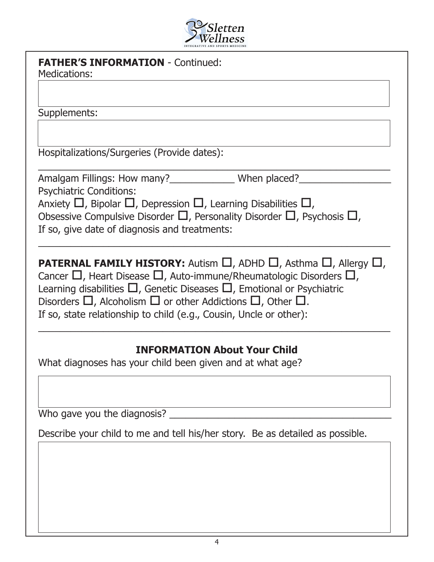

| <b>FATHER'S INFORMATION - Continued:</b><br><b>Medications:</b>                                                                                                                                                                                                                                                                                                |
|----------------------------------------------------------------------------------------------------------------------------------------------------------------------------------------------------------------------------------------------------------------------------------------------------------------------------------------------------------------|
|                                                                                                                                                                                                                                                                                                                                                                |
| Supplements:                                                                                                                                                                                                                                                                                                                                                   |
|                                                                                                                                                                                                                                                                                                                                                                |
| Hospitalizations/Surgeries (Provide dates):                                                                                                                                                                                                                                                                                                                    |
| Amalgam Fillings: How many? <b>Example 20</b> When placed? <b>Multimes:</b> Now many? <b>Adden</b>                                                                                                                                                                                                                                                             |
| <b>Psychiatric Conditions:</b>                                                                                                                                                                                                                                                                                                                                 |
| Anxiety $\Box$ , Bipolar $\Box$ , Depression $\Box$ , Learning Disabilities $\Box$ ,                                                                                                                                                                                                                                                                           |
| Obsessive Compulsive Disorder $\square$ , Personality Disorder $\square$ , Psychosis $\square$ ,                                                                                                                                                                                                                                                               |
| If so, give date of diagnosis and treatments:                                                                                                                                                                                                                                                                                                                  |
|                                                                                                                                                                                                                                                                                                                                                                |
| <b>PATERNAL FAMILY HISTORY:</b> Autism $\Box$ , ADHD $\Box$ , Asthma $\Box$ , Allergy $\Box$ ,<br>Cancer $\Box$ , Heart Disease $\Box$ , Auto-immune/Rheumatologic Disorders $\Box$ ,<br>Learning disabilities $\Box$ , Genetic Diseases $\Box$ , Emotional or Psychiatric<br>Disorders $\Box$ , Alcoholism $\Box$ or other Addictions $\Box$ , Other $\Box$ . |
| If so, state relationship to child (e.g., Cousin, Uncle or other):                                                                                                                                                                                                                                                                                             |
|                                                                                                                                                                                                                                                                                                                                                                |
| <b>INFORMATION About Your Child</b>                                                                                                                                                                                                                                                                                                                            |
| What diagnoses has your child been given and at what age?                                                                                                                                                                                                                                                                                                      |
|                                                                                                                                                                                                                                                                                                                                                                |
| Who gave you the diagnosis?                                                                                                                                                                                                                                                                                                                                    |
| Describe your child to me and tell his/her story. Be as detailed as possible.                                                                                                                                                                                                                                                                                  |
|                                                                                                                                                                                                                                                                                                                                                                |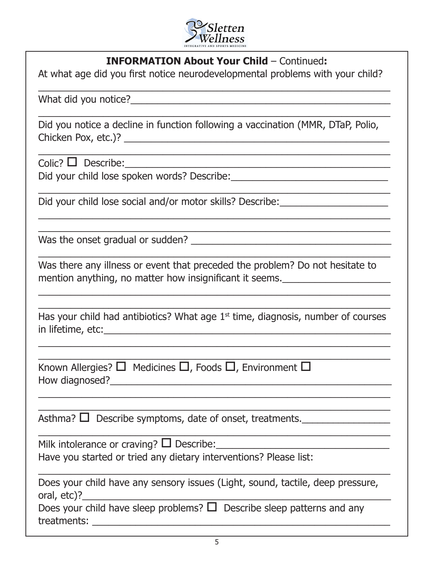

#### **INFORMATION About Your Child** – Continued**:**

 $\_$  ,  $\_$  ,  $\_$  ,  $\_$  ,  $\_$  ,  $\_$  ,  $\_$  ,  $\_$  ,  $\_$  ,  $\_$  ,  $\_$  ,  $\_$  ,  $\_$  ,  $\_$  ,  $\_$  ,  $\_$ 

At what age did you first notice neurodevelopmental problems with your child?

What did you notice?\_\_\_\_\_\_\_\_\_\_\_\_\_\_\_\_\_\_\_\_\_\_\_\_\_\_\_\_\_\_\_\_\_\_\_\_\_\_\_\_\_\_\_\_\_\_\_\_

Did you notice a decline in function following a vaccination (MMR, DTaP, Polio, Chicken Pox, etc.)? \_\_\_\_\_\_\_\_\_\_\_\_\_\_\_\_\_\_\_\_\_\_\_\_\_\_\_\_\_\_\_\_\_\_\_\_\_\_\_\_\_\_\_\_\_\_\_\_\_

\_\_\_\_\_\_\_\_\_\_\_\_\_\_\_\_\_\_\_\_\_\_\_\_\_\_\_\_\_\_\_\_\_\_\_\_\_\_\_\_\_\_\_\_\_\_\_\_\_\_\_\_\_\_\_\_\_\_\_\_\_\_\_\_\_

 $\_$  , and the contribution of the contribution of  $\mathcal{L}_\mathcal{A}$  , and the contribution of  $\mathcal{L}_\mathcal{A}$  , and the contribution of  $\mathcal{L}_\mathcal{A}$ 

 $\mathcal{L}_\text{max}$  , and the contract of the contract of the contract of the contract of the contract of the contract of the contract of the contract of the contract of the contract of the contract of the contract of the contr  $\_$  , and the set of the set of the set of the set of the set of the set of the set of the set of the set of the set of the set of the set of the set of the set of the set of the set of the set of the set of the set of th

 $\_$  , and the set of the set of the set of the set of the set of the set of the set of the set of the set of the set of the set of the set of the set of the set of the set of the set of the set of the set of the set of th

Colic? o Describe:\_\_\_\_\_\_\_\_\_\_\_\_\_\_\_\_\_\_\_\_\_\_\_\_\_\_\_\_\_\_\_\_\_\_\_\_\_\_\_\_\_\_\_\_\_\_\_\_\_

Did your child lose spoken words? Describe:\_\_\_\_\_\_\_\_\_\_\_\_\_\_\_\_\_\_\_\_\_\_\_\_\_\_\_\_\_

Did your child lose social and/or motor skills? Describe:

Was the onset gradual or sudden? The summary state of the state of the state of the state of the state of the state of the state of the state of the state of the state of the state of the state of the state of the state of

Was there any illness or event that preceded the problem? Do not hesitate to mention anything, no matter how insignificant it seems.\_\_\_\_\_\_\_\_\_\_\_\_\_\_\_\_\_\_\_\_

| Has your child had antibiotics? What age $1st$ time, diagnosis, number of courses |  |  |
|-----------------------------------------------------------------------------------|--|--|
| in lifetime, etc:                                                                 |  |  |

 $\mathcal{L}_\text{max}$  , and the contract of the contract of the contract of the contract of the contract of the contract of the contract of the contract of the contract of the contract of the contract of the contract of the contr  $\mathcal{L}_\text{max}$  , and the contract of the contract of the contract of the contract of the contract of the contract of the contract of the contract of the contract of the contract of the contract of the contract of the contr

 $\mathcal{L}_\text{max}$  , and the contract of the contract of the contract of the contract of the contract of the contract of the contract of the contract of the contract of the contract of the contract of the contract of the contr  $\mathcal{L}_\text{max}$  , and the contract of the contract of the contract of the contract of the contract of the contract of the contract of the contract of the contract of the contract of the contract of the contract of the contr

 $\mathcal{L}_\text{max}$  , and the contract of the contract of the contract of the contract of the contract of the contract of the contract of the contract of the contract of the contract of the contract of the contract of the contr

\_\_\_\_\_\_\_\_\_\_\_\_\_\_\_\_\_\_\_\_\_\_\_\_\_\_\_\_\_\_\_\_\_\_\_\_\_\_\_\_\_\_\_\_\_\_\_\_\_\_\_\_\_\_\_\_\_\_\_\_\_\_\_\_\_

 $\_$  , and the set of the set of the set of the set of the set of the set of the set of the set of the set of the set of the set of the set of the set of the set of the set of the set of the set of the set of the set of th  $\_$  , and the set of the set of the set of the set of the set of the set of the set of the set of the set of the set of the set of the set of the set of the set of the set of the set of the set of the set of the set of th

| Known Allergies? $\Box$ Medicines $\Box$ , Foods $\Box$ , Environment $\Box$ |  |  |
|------------------------------------------------------------------------------|--|--|
| $\mathbf{r}$                                                                 |  |  |

How diagnosed?  $\blacksquare$ 

Asthma?  $\Box$  Describe symptoms, date of onset, treatments.

Milk intolerance or craving?  $\Box$  Describe:

Have you started or tried any dietary interventions? Please list:

| Does your child have any sensory issues (Light, sound, tactile, deep pressure, |  |
|--------------------------------------------------------------------------------|--|
| oral, etc)?                                                                    |  |

Does your child have sleep problems?  $\Box$  Describe sleep patterns and any treatments: **Example 19**  $\sim$  2008  $\sim$  2008  $\sim$  2008  $\sim$  2008  $\sim$  2008  $\sim$  2008  $\sim$  2008  $\sim$  2008  $\sim$  2008  $\sim$  2008  $\sim$  2008  $\sim$  2008  $\sim$  2008  $\sim$  2008  $\sim$  2008  $\sim$  2008  $\sim$  2008  $\sim$  2008  $\sim$  2008  $\sim$  20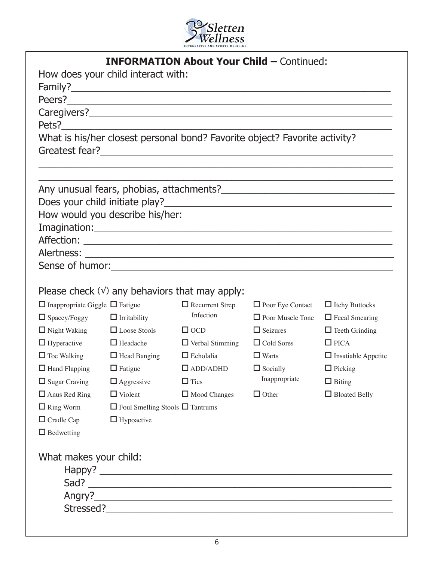

|                                            |                                             | <b>INFORMATION About Your Child - Continued:</b>                                                               |                         |                            |
|--------------------------------------------|---------------------------------------------|----------------------------------------------------------------------------------------------------------------|-------------------------|----------------------------|
|                                            | How does your child interact with:          |                                                                                                                |                         |                            |
|                                            |                                             |                                                                                                                |                         |                            |
|                                            |                                             | Peers?                                                                                                         |                         |                            |
|                                            |                                             |                                                                                                                |                         |                            |
|                                            |                                             |                                                                                                                |                         |                            |
|                                            |                                             | What is his/her closest personal bond? Favorite object? Favorite activity?                                     |                         |                            |
|                                            |                                             |                                                                                                                |                         |                            |
|                                            | How would you describe his/her:             |                                                                                                                |                         |                            |
|                                            |                                             | Imagination: Note also a server that the server of the server of the server of the server of the server of the |                         |                            |
|                                            |                                             |                                                                                                                |                         |                            |
|                                            |                                             |                                                                                                                |                         |                            |
|                                            |                                             |                                                                                                                |                         |                            |
|                                            |                                             |                                                                                                                |                         |                            |
|                                            |                                             | Please check $(v)$ any behaviors that may apply:                                                               |                         |                            |
| $\Box$ Inappropriate Giggle $\Box$ Fatigue |                                             | $\Box$ Recurrent Strep                                                                                         | $\Box$ Poor Eye Contact | $\Box$ Itchy Buttocks      |
| $\Box$ Spacey/Foggy                        | $\Box$ Irritability                         | Infection                                                                                                      | $\Box$ Poor Muscle Tone | $\Box$ Fecal Smearing      |
| $\Box$ Night Waking                        | $\Box$ Loose Stools                         | $\Box$ OCD                                                                                                     | $\Box$ Seizures         | $\Box$ Teeth Grinding      |
| $\Box$ Hyperactive                         | $\Box$ Headache                             | $\Box$ Verbal Stimming                                                                                         | $\Box$ Cold Sores       | $\Box$ PICA                |
| $\Box$ Toe Walking                         | $\Box$ Head Banging                         | $\Box$ Echolalia                                                                                               | $\Box$ Warts            | $\Box$ Insatiable Appetite |
| $\Box$ Hand Flapping                       | $\Box$ Fatigue                              | $\Box$ ADD/ADHD                                                                                                | $\Box$ Socially         | $\Box$ Picking             |
| $\Box$ Sugar Craving                       | $\Box$ Aggressive                           | $\Box$ Tics                                                                                                    | Inappropriate           | $\Box$ Biting              |
| $\Box$ Anus Red Ring                       | $\Box$ Violent                              | $\Box$ Mood Changes                                                                                            | $\Box$ Other            | $\Box$ Bloated Belly       |
| $\Box$ Ring Worm                           | $\Box$ Foul Smelling Stools $\Box$ Tantrums |                                                                                                                |                         |                            |
| $\Box$ Cradle Cap                          | $\Box$ Hypoactive                           |                                                                                                                |                         |                            |
| $\Box$ Bedwetting                          |                                             |                                                                                                                |                         |                            |
| What makes your child:                     |                                             |                                                                                                                |                         |                            |
|                                            |                                             |                                                                                                                |                         |                            |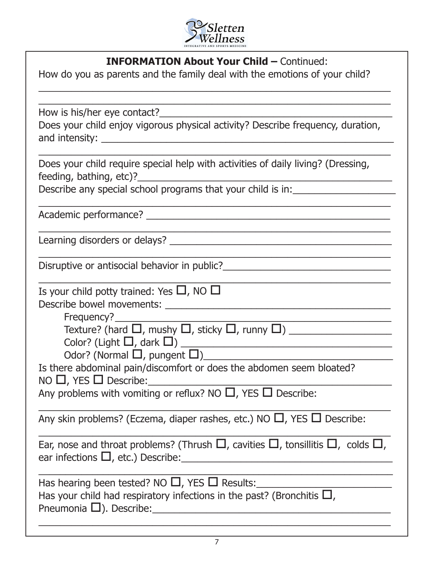

#### **INFORMATION About Your Child – Continued:**

 $\_$  , and the set of the set of the set of the set of the set of the set of the set of the set of the set of the set of the set of the set of the set of the set of the set of the set of the set of the set of the set of th  $\_$  , and the set of the set of the set of the set of the set of the set of the set of the set of the set of the set of the set of the set of the set of the set of the set of the set of the set of the set of the set of th

How do you as parents and the family deal with the emotions of your child?

How is his/her eye contact?

Does your child enjoy vigorous physical activity? Describe frequency, duration, and intensity: \_\_\_\_\_\_\_\_\_\_\_\_\_\_\_\_\_\_\_\_\_\_\_\_\_\_\_\_\_\_\_\_\_\_\_\_\_\_\_\_\_\_\_\_\_\_\_\_\_\_\_\_\_\_

 $\_$  , and the set of the set of the set of the set of the set of the set of the set of the set of the set of the set of the set of the set of the set of the set of the set of the set of the set of the set of the set of th Does your child require special help with activities of daily living? (Dressing, feeding, bathing, etc)?

 $\_$  , and the set of the set of the set of the set of the set of the set of the set of the set of the set of the set of the set of the set of the set of the set of the set of the set of the set of the set of the set of th

 $\_$  , and the set of the set of the set of the set of the set of the set of the set of the set of the set of the set of the set of the set of the set of the set of the set of the set of the set of the set of the set of th

 $\_$  , and the set of the set of the set of the set of the set of the set of the set of the set of the set of the set of the set of the set of the set of the set of the set of the set of the set of the set of the set of th

 $\_$  , and the set of the set of the set of the set of the set of the set of the set of the set of the set of the set of the set of the set of the set of the set of the set of the set of the set of the set of the set of th

Describe any special school programs that your child is in:

Academic performance? **Example 2** 

Learning disorders or delays? \_\_\_\_\_\_\_\_\_\_\_\_\_\_\_\_\_\_\_\_\_\_\_\_\_\_\_\_\_\_\_\_\_\_\_\_\_\_\_\_\_

Disruptive or antisocial behavior in public? Disruptive or antisocial behavior in public?

Is your child potty trained: Yes  $\Box$ , NO  $\Box$ Describe bowel movements: \_\_\_\_\_\_\_\_\_\_\_\_\_\_\_\_\_\_\_\_\_\_\_\_\_\_\_\_\_\_\_\_\_\_\_\_\_\_\_\_\_\_

Frequency?

Texture? (hard o, mushy o, sticky o, runny o) \_\_\_\_\_\_\_\_\_\_\_\_\_\_\_\_\_\_\_

Color? (Light o, dark o) \_\_\_\_\_\_\_\_\_\_\_\_\_\_\_\_\_\_\_\_\_\_\_\_\_\_\_\_\_\_\_\_\_\_\_\_\_\_\_

Odor? (Normal  $\Box$ , pungent  $\Box$ )

Is there abdominal pain/discomfort or does the abdomen seem bloated?  $NO \Box$ , YES  $\Box$  Describe:

Any problems with vomiting or reflux? NO  $\Box$ , YES  $\Box$  Describe:

Any skin problems? (Eczema, diaper rashes, etc.) NO  $\Box$ , YES  $\Box$  Describe:

Ear, nose and throat problems? (Thrush  $\Box$ , cavities  $\Box$ , tonsillitis  $\Box$ , colds  $\Box$ , ear infections  $\Box$ , etc.) Describe:

 $\overline{a_1}$  , and the set of the set of the set of the set of the set of the set of the set of the set of the set of the set of the set of the set of the set of the set of the set of the set of the set of the set of the se

 $\_$  , and the set of the set of the set of the set of the set of the set of the set of the set of the set of the set of the set of the set of the set of the set of the set of the set of the set of the set of the set of th

 $\_$  , and the set of the set of the set of the set of the set of the set of the set of the set of the set of the set of the set of the set of the set of the set of the set of the set of the set of the set of the set of th

Has hearing been tested? NO  $\Box$ , YES  $\Box$  Results:

Has your child had respiratory infections in the past? (Bronchitis  $\Box$ , Pneumonia  $\square$ ). Describe:

 $\_$  , and the set of the set of the set of the set of the set of the set of the set of the set of the set of the set of the set of the set of the set of the set of the set of the set of the set of the set of the set of th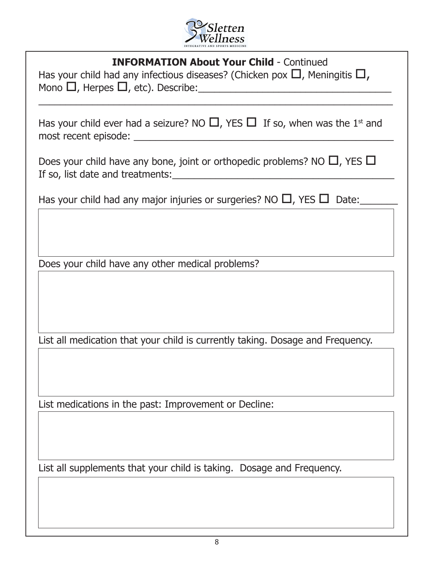

#### **INFORMATION About Your Child** - Continued

Has your child had any infectious diseases? (Chicken pox  $\Box$ , Meningitis  $\Box$ , Mono o, Herpes o, etc). Describe:\_\_\_\_\_\_\_\_\_\_\_\_\_\_\_\_\_\_\_\_\_\_\_\_\_\_\_\_\_\_\_\_\_\_\_\_

Has your child ever had a seizure? NO  $\Box$ , YES  $\Box$  If so, when was the 1<sup>st</sup> and most recent episode: \_\_\_\_\_\_\_\_\_\_\_\_\_\_\_\_\_\_\_\_\_\_\_\_\_\_\_\_\_\_\_\_\_\_\_\_\_\_\_\_\_\_\_\_\_\_\_\_

 $\overline{a_1}$  , and the contribution of the contribution of the contribution of the contribution of the contribution of the contribution of the contribution of the contribution of the contribution of the contribution of the

Does your child have any bone, joint or orthopedic problems? NO  $\Box$ , YES  $\Box$ If so, list date and treatments:\_\_\_\_\_\_\_\_\_\_\_\_\_\_\_\_\_\_\_\_\_\_\_\_\_\_\_\_\_\_\_\_\_\_\_\_\_\_\_\_\_

Has your child had any major injuries or surgeries? NO  $\Box$ , YES  $\Box$  Date:

Does your child have any other medical problems?

List all medication that your child is currently taking. Dosage and Frequency.

List medications in the past: Improvement or Decline:

List all supplements that your child is taking. Dosage and Frequency.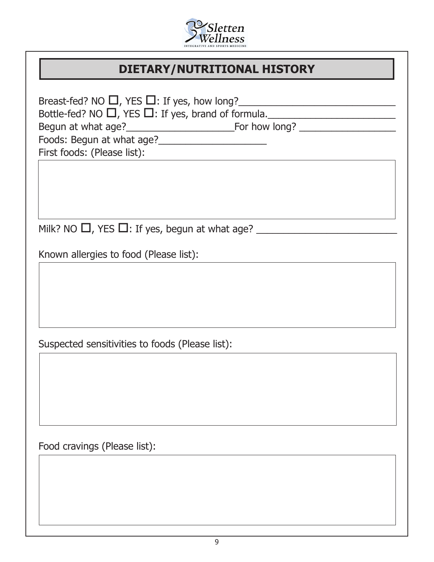

## **DIETARY/NUTRITIONAL HISTORY**

| Bottle-fed? NO $\Box$ , YES $\Box$ : If yes, brand of formula.<br>First foods: (Please list): |
|-----------------------------------------------------------------------------------------------|
| Milk? NO $\Box$ , YES $\Box$ : If yes, begun at what age? ______                              |
| Known allergies to food (Please list):                                                        |
|                                                                                               |
| Suspected sensitivities to foods (Please list):                                               |
|                                                                                               |
| Food cravings (Please list):                                                                  |
|                                                                                               |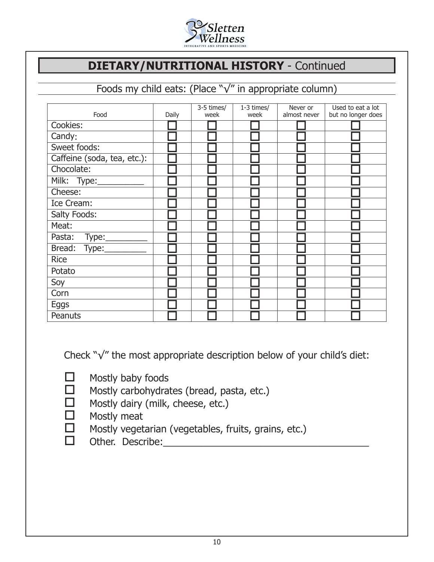

## **DIETARY/NUTRITIONAL HISTORY** - Continued

## Foods my child eats: (Place "√" in appropriate column)

|                             |       | 3-5 times/ | $1-3$ times/ | Never or     | Used to eat a lot  |
|-----------------------------|-------|------------|--------------|--------------|--------------------|
| Food                        | Daily | week       | week         | almost never | but no longer does |
| Cookies:                    |       |            |              |              |                    |
| Candy:                      |       |            |              |              |                    |
| Sweet foods:                |       |            |              |              |                    |
| Caffeine (soda, tea, etc.): |       |            |              |              |                    |
| Chocolate:                  |       |            |              |              |                    |
| Milk: Type:                 |       |            |              |              |                    |
| Cheese:                     |       |            |              |              |                    |
| Ice Cream:                  |       |            |              |              |                    |
| Salty Foods:                |       |            |              |              |                    |
| Meat:                       |       |            |              |              |                    |
| Type:<br>Pasta:             |       |            |              |              |                    |
| Bread: Type:                |       |            |              |              |                    |
| <b>Rice</b>                 |       |            |              |              |                    |
| Potato                      |       |            |              |              |                    |
| Soy                         |       |            |              |              |                    |
| Corn                        |       |            |              |              |                    |
| Eggs                        |       |            |              |              |                    |
| Peanuts                     |       |            |              |              |                    |

Check "√" the most appropriate description below of your child's diet:

- $\Box$  Mostly baby foods
- $\Box$  Mostly carbohydrates (bread, pasta, etc.)
- $\Box$  Mostly dairy (milk, cheese, etc.)
- $\Box$  Mostly meat
- $\Box$  Mostly vegetarian (vegetables, fruits, grains, etc.)<br> $\Box$  Other. Describe:
- Other. Describe: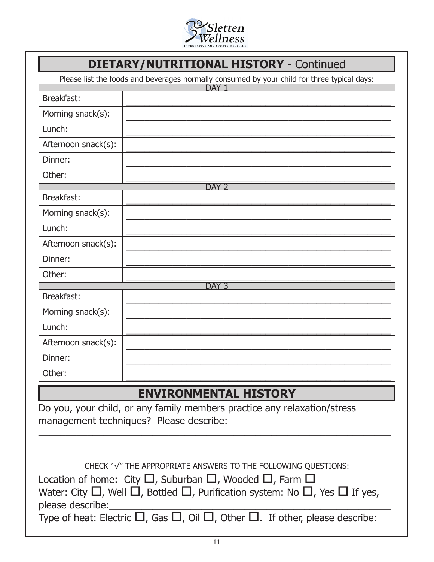

## **DIETARY/NUTRITIONAL HISTORY** - Continued

Please list the foods and beverages normally consumed by your child for three typical days:

|                     | ricase ise are rooms and beverages normally consumed by your critic rol ance eypical days.<br>DAY <sub>1</sub> |
|---------------------|----------------------------------------------------------------------------------------------------------------|
| Breakfast:          |                                                                                                                |
| Morning snack(s):   |                                                                                                                |
| Lunch:              |                                                                                                                |
| Afternoon snack(s): |                                                                                                                |
| Dinner:             |                                                                                                                |
| Other:              |                                                                                                                |
|                     | DAY <sub>2</sub>                                                                                               |
| Breakfast:          |                                                                                                                |
| Morning snack(s):   |                                                                                                                |
| Lunch:              |                                                                                                                |
| Afternoon snack(s): |                                                                                                                |
| Dinner:             |                                                                                                                |
| Other:              |                                                                                                                |
|                     | DAY <sub>3</sub>                                                                                               |
| Breakfast:          |                                                                                                                |
| Morning snack(s):   |                                                                                                                |
| Lunch:              |                                                                                                                |
| Afternoon snack(s): |                                                                                                                |
| Dinner:             |                                                                                                                |
| Other:              |                                                                                                                |
|                     | <b>ENVIRONMENTAL HISTORY</b>                                                                                   |
|                     |                                                                                                                |
|                     | Do you, your child, or any family members practice any relaxation/stress                                       |
|                     | management techniques? Please describe:                                                                        |
|                     |                                                                                                                |
|                     |                                                                                                                |

CHECK "√" THE APPROPRIATE ANSWERS TO THE FOLLOWING QUESTIONS:

| Location of home: City $\Box$ , Suburban $\Box$ , Wooded $\Box$ , Farm $\Box$                           |
|---------------------------------------------------------------------------------------------------------|
| Water: City $\Box$ , Well $\Box$ , Bottled $\Box$ , Purification system: No $\Box$ , Yes $\Box$ If yes, |
| please describe:                                                                                        |
| Type of heat: Electric $\Box$ , Gas $\Box$ , Oil $\Box$ , Other $\Box$ . If other, please describe:     |

 $\frac{1}{2}$  ,  $\frac{1}{2}$  ,  $\frac{1}{2}$  ,  $\frac{1}{2}$  ,  $\frac{1}{2}$  ,  $\frac{1}{2}$  ,  $\frac{1}{2}$  ,  $\frac{1}{2}$  ,  $\frac{1}{2}$  ,  $\frac{1}{2}$  ,  $\frac{1}{2}$  ,  $\frac{1}{2}$  ,  $\frac{1}{2}$  ,  $\frac{1}{2}$  ,  $\frac{1}{2}$  ,  $\frac{1}{2}$  ,  $\frac{1}{2}$  ,  $\frac{1}{2}$  ,  $\frac{1$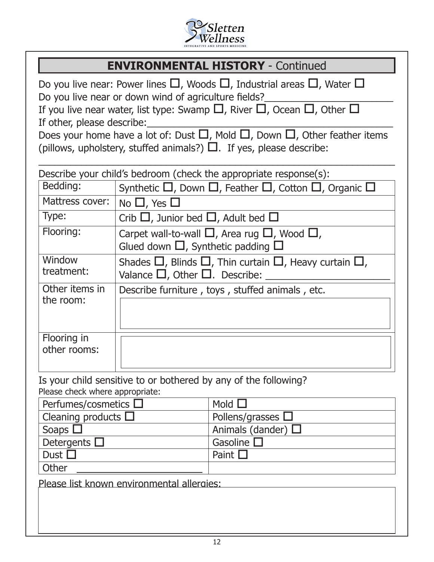

## **ENVIRONMENTAL HISTORY** - Continued

| Do you live near: Power lines $\square$ , Woods $\square$ , Industrial areas $\square$ , Water $\square$<br>Do you live near or down wind of agriculture fields?<br>If you live near water, list type: Swamp $\square$ , River $\square$ , Ocean $\square$ , Other $\square$ |                                                    |                                                                                                                                                                                   |  |  |  |  |  |
|------------------------------------------------------------------------------------------------------------------------------------------------------------------------------------------------------------------------------------------------------------------------------|----------------------------------------------------|-----------------------------------------------------------------------------------------------------------------------------------------------------------------------------------|--|--|--|--|--|
| If other, please describe:                                                                                                                                                                                                                                                   |                                                    |                                                                                                                                                                                   |  |  |  |  |  |
|                                                                                                                                                                                                                                                                              |                                                    | Does your home have a lot of: Dust $\square$ , Mold $\square$ , Down $\square$ , Other feather items<br>(pillows, upholstery, stuffed animals?) $\Box$ . If yes, please describe: |  |  |  |  |  |
|                                                                                                                                                                                                                                                                              |                                                    | Describe your child's bedroom (check the appropriate response(s):                                                                                                                 |  |  |  |  |  |
| Bedding:                                                                                                                                                                                                                                                                     |                                                    | Synthetic $\Box$ , Down $\Box$ , Feather $\Box$ , Cotton $\Box$ , Organic $\Box$                                                                                                  |  |  |  |  |  |
| Mattress cover:                                                                                                                                                                                                                                                              | No $\Box$ , Yes $\Box$                             |                                                                                                                                                                                   |  |  |  |  |  |
| Type:                                                                                                                                                                                                                                                                        | Crib $\Box$ , Junior bed $\Box$ , Adult bed $\Box$ |                                                                                                                                                                                   |  |  |  |  |  |
| Flooring:                                                                                                                                                                                                                                                                    | Glued down $\Box$ , Synthetic padding $\Box$       | Carpet wall-to-wall $\square$ , Area rug $\square$ , Wood $\square$ ,                                                                                                             |  |  |  |  |  |
| Window<br>treatment:                                                                                                                                                                                                                                                         | Valance $\Box$ , Other $\Box$ . Describe:          | Shades $\Box$ , Blinds $\Box$ , Thin curtain $\Box$ , Heavy curtain $\Box$ ,                                                                                                      |  |  |  |  |  |
| Other items in<br>the room:                                                                                                                                                                                                                                                  |                                                    | Describe furniture, toys, stuffed animals, etc.                                                                                                                                   |  |  |  |  |  |
| Flooring in<br>other rooms:                                                                                                                                                                                                                                                  |                                                    |                                                                                                                                                                                   |  |  |  |  |  |
| Please check where appropriate:                                                                                                                                                                                                                                              |                                                    | Is your child sensitive to or bothered by any of the following?                                                                                                                   |  |  |  |  |  |
| Perfumes/cosmetics $\square$                                                                                                                                                                                                                                                 |                                                    | Mold $\square$                                                                                                                                                                    |  |  |  |  |  |
| Cleaning products $\square$                                                                                                                                                                                                                                                  |                                                    | Pollens/grasses                                                                                                                                                                   |  |  |  |  |  |
| Soaps [                                                                                                                                                                                                                                                                      | Animals (dander) $\Box$                            |                                                                                                                                                                                   |  |  |  |  |  |
| Gasoline $\square$<br>Detergents $\square$                                                                                                                                                                                                                                   |                                                    |                                                                                                                                                                                   |  |  |  |  |  |
| Dust $\square$<br>Paint $\square$                                                                                                                                                                                                                                            |                                                    |                                                                                                                                                                                   |  |  |  |  |  |
| Other                                                                                                                                                                                                                                                                        |                                                    |                                                                                                                                                                                   |  |  |  |  |  |
|                                                                                                                                                                                                                                                                              | Please list known environmental allergies:         |                                                                                                                                                                                   |  |  |  |  |  |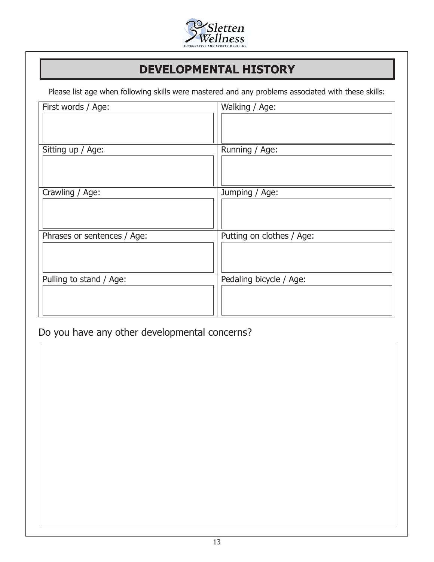

## **DEVELOPMENTAL HISTORY**

Please list age when following skills were mastered and any problems associated with these skills:

| First words / Age:          | Walking / Age:            |
|-----------------------------|---------------------------|
| Sitting up / Age:           | Running / Age:            |
| Crawling / Age:             | Jumping / Age:            |
| Phrases or sentences / Age: | Putting on clothes / Age: |
| Pulling to stand / Age:     | Pedaling bicycle / Age:   |

Do you have any other developmental concerns?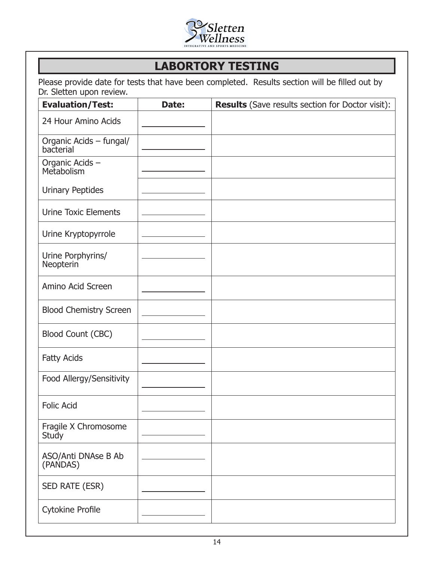

## **LABORTORY TESTING**

Please provide date for tests that have been completed. Results section will be filled out by Dr. Sletten upon review.

| <b>Evaluation/Test:</b>              | Date: | <b>Results</b> (Save results section for Doctor visit): |
|--------------------------------------|-------|---------------------------------------------------------|
| 24 Hour Amino Acids                  |       |                                                         |
| Organic Acids - fungal/<br>bacterial |       |                                                         |
| Organic Acids -<br>Metabolism        |       |                                                         |
| <b>Urinary Peptides</b>              |       |                                                         |
| <b>Urine Toxic Elements</b>          |       |                                                         |
| Urine Kryptopyrrole                  |       |                                                         |
| Urine Porphyrins/<br>Neopterin       |       |                                                         |
| Amino Acid Screen                    |       |                                                         |
| <b>Blood Chemistry Screen</b>        |       |                                                         |
| <b>Blood Count (CBC)</b>             |       |                                                         |
| <b>Fatty Acids</b>                   |       |                                                         |
| Food Allergy/Sensitivity             |       |                                                         |
| <b>Folic Acid</b>                    |       |                                                         |
| Fragile X Chromosome<br><b>Study</b> |       |                                                         |
| ASO/Anti DNAse B Ab<br>(PANDAS)      |       |                                                         |
| SED RATE (ESR)                       |       |                                                         |
| <b>Cytokine Profile</b>              |       |                                                         |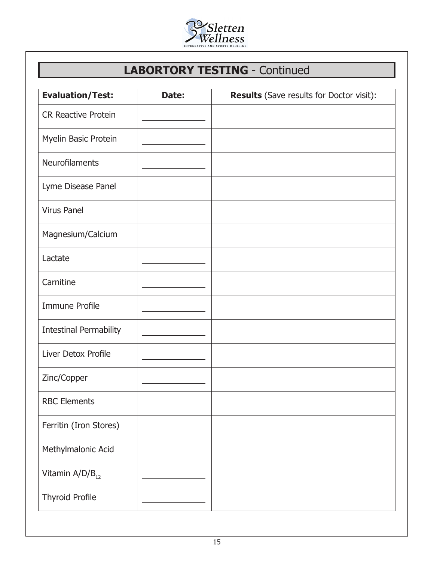

# **LABORTORY TESTING** - Continued

| <b>Evaluation/Test:</b>       | Date: | <b>Results</b> (Save results for Doctor visit): |
|-------------------------------|-------|-------------------------------------------------|
| <b>CR Reactive Protein</b>    |       |                                                 |
| Myelin Basic Protein          |       |                                                 |
| Neurofilaments                |       |                                                 |
| Lyme Disease Panel            |       |                                                 |
| <b>Virus Panel</b>            |       |                                                 |
| Magnesium/Calcium             |       |                                                 |
| Lactate                       |       |                                                 |
| Carnitine                     |       |                                                 |
| <b>Immune Profile</b>         |       |                                                 |
| <b>Intestinal Permability</b> |       |                                                 |
| Liver Detox Profile           |       |                                                 |
| Zinc/Copper                   |       |                                                 |
| <b>RBC Elements</b>           |       |                                                 |
| Ferritin (Iron Stores)        |       |                                                 |
| Methylmalonic Acid            |       |                                                 |
| Vitamin $A/D/B_{12}$          |       |                                                 |
| <b>Thyroid Profile</b>        |       |                                                 |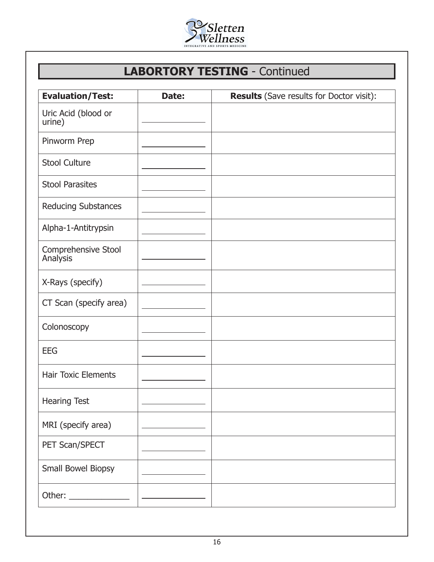

## **LABORTORY TESTING** - Continued

| <b>Evaluation/Test:</b>         | Date: | <b>Results</b> (Save results for Doctor visit): |
|---------------------------------|-------|-------------------------------------------------|
| Uric Acid (blood or<br>urine)   |       |                                                 |
| Pinworm Prep                    |       |                                                 |
| <b>Stool Culture</b>            |       |                                                 |
| <b>Stool Parasites</b>          |       |                                                 |
| Reducing Substances             |       |                                                 |
| Alpha-1-Antitrypsin             |       |                                                 |
| Comprehensive Stool<br>Analysis |       |                                                 |
| X-Rays (specify)                |       |                                                 |
| CT Scan (specify area)          |       |                                                 |
| Colonoscopy                     |       |                                                 |
| <b>EEG</b>                      |       |                                                 |
| <b>Hair Toxic Elements</b>      |       |                                                 |
| <b>Hearing Test</b>             |       |                                                 |
| MRI (specify area)              |       |                                                 |
| PET Scan/SPECT                  |       |                                                 |
| Small Bowel Biopsy              |       |                                                 |
|                                 |       |                                                 |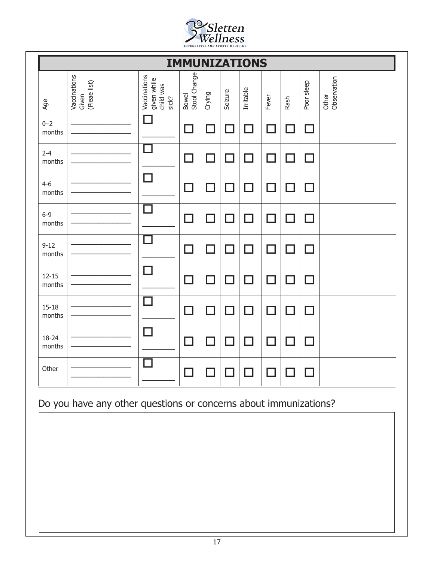

|                     |                                       |                                                   | <b>IMMUNIZATIONS</b>     |        |         |           |       |              |                          |                      |
|---------------------|---------------------------------------|---------------------------------------------------|--------------------------|--------|---------|-----------|-------|--------------|--------------------------|----------------------|
| Age                 | Vaccinations<br>(Pleae list)<br>Given | Vaccinations<br>given while<br>child was<br>sick? | Bowel<br>Stool Change    | Crying | Seizure | Irritable | Fever | Rash         | Poor sleep               | Other<br>Observation |
| $0 - 2$<br>months   |                                       |                                                   | ٦                        | ٦      | $\Box$  | $\Box$    | ٦     | $\mathsf{L}$ | П                        |                      |
| $2 - 4$<br>months   |                                       |                                                   | ٦                        | ٦      | П       | J.        | ٦     | $\Box$       | $\overline{\phantom{0}}$ |                      |
| $4 - 6$<br>months   |                                       |                                                   | ٦                        | ┓      | □       | $\Box$    | ٦     | П            | П                        |                      |
| $6 - 9$<br>months   |                                       |                                                   | ┓                        | . I    | $\Box$  | П         | ٦     | $\Box$       | П                        |                      |
| $9 - 12$<br>months  |                                       |                                                   | $\mathcal{A}$            | П      | □       | П         | ٦     | $\Box$       | $\Box$                   |                      |
| $12 - 15$<br>months |                                       |                                                   | ٦                        | ┓      | □       | П         | ٦     | П            | n l                      |                      |
| $15 - 18$<br>months |                                       |                                                   | ┓                        | - 1    | П       | ٦         | ┓     | $\Box$       | П                        |                      |
| 18-24<br>months     |                                       |                                                   | ┑                        | П      | П       | ┓         | ┓     | ┓            | П                        |                      |
| Other               |                                       |                                                   | $\overline{\phantom{0}}$ | . I    |         |           |       |              | n l                      |                      |

Do you have any other questions or concerns about immunizations?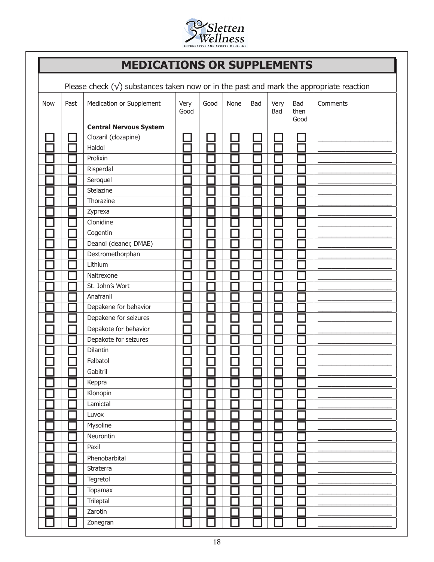

## **MEDICATIONS OR SUPPLEMENTS**

Please check  $(\sqrt{})$  substances taken now or in the past and mark the appropriate reaction

| <b>Now</b> | Past | Medication or Supplement      | Very<br>Good | Good | None | Bad | Very<br>Bad | Bad<br>then<br>Good | Comments |
|------------|------|-------------------------------|--------------|------|------|-----|-------------|---------------------|----------|
|            |      | <b>Central Nervous System</b> |              |      |      |     |             |                     |          |
|            |      | Clozaril (clozapine)          |              |      |      |     |             |                     |          |
|            |      | Haldol                        |              |      |      |     |             |                     |          |
|            |      | Prolixin                      |              |      |      |     |             |                     |          |
|            |      | Risperdal                     |              |      |      |     |             |                     |          |
|            |      | Seroquel                      |              |      |      |     |             |                     |          |
|            |      | Stelazine                     |              |      |      |     |             |                     |          |
|            |      | Thorazine                     |              |      |      |     |             |                     |          |
|            |      | Zyprexa                       |              |      |      |     |             |                     |          |
|            |      | Clonidine                     |              |      |      |     |             |                     |          |
|            |      | Cogentin                      |              |      |      |     |             |                     |          |
|            |      | Deanol (deaner, DMAE)         |              |      |      |     |             |                     |          |
|            |      | Dextromethorphan              |              |      |      |     |             |                     |          |
|            |      | Lithium                       |              |      |      |     |             |                     |          |
|            |      | Naltrexone                    |              |      |      |     |             |                     |          |
|            |      | St. John's Wort               |              |      |      |     |             |                     |          |
|            |      | Anafranil                     |              |      |      |     |             |                     |          |
|            |      | Depakene for behavior         |              |      |      |     |             |                     |          |
|            |      | Depakene for seizures         |              |      |      |     |             |                     |          |
|            |      | Depakote for behavior         |              |      |      |     |             |                     |          |
|            |      | Depakote for seizures         |              |      |      |     |             |                     |          |
|            |      | Dilantin                      |              |      |      |     |             |                     |          |
|            |      | Felbatol                      |              |      |      |     |             |                     |          |
|            |      | Gabitril                      |              |      |      |     |             |                     |          |
|            |      | Keppra                        |              |      |      |     |             |                     |          |
|            |      | Klonopin                      |              |      |      |     |             |                     |          |
|            |      | Lamictal                      |              |      |      |     |             |                     |          |
|            |      | Luvox                         |              |      |      |     |             |                     |          |
|            |      | Mysoline                      |              |      |      |     |             |                     |          |
|            |      | Neurontin                     |              |      |      |     |             |                     |          |
|            |      | Paxil                         |              |      |      |     |             |                     |          |
|            |      | Phenobarbital                 |              |      |      |     |             |                     |          |
|            |      | Straterra                     |              |      |      |     |             |                     |          |
|            |      | Tegretol                      |              |      |      |     |             |                     |          |
|            |      | <b>Topamax</b>                |              |      |      |     |             |                     |          |
|            |      | Trileptal                     |              |      |      |     |             |                     |          |
|            |      | Zarotin                       |              |      |      |     |             |                     |          |
|            |      | Zonegran                      |              |      |      |     |             |                     |          |
|            |      |                               |              |      |      |     |             |                     |          |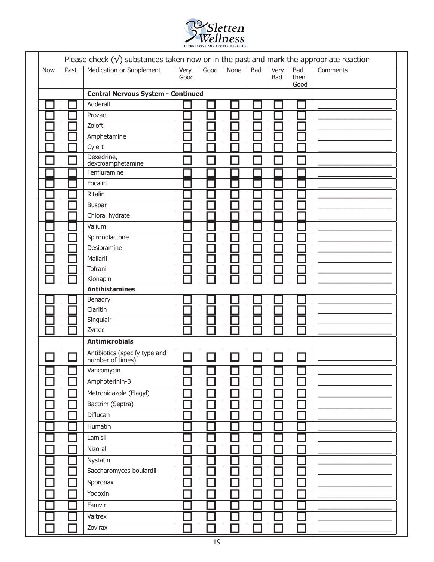

| <b>Now</b> | Past | Medication or Supplement                          | Very<br>Good | Good | None | Bad | Very<br>Bad | <b>Bad</b><br>then<br>Good | Comments |
|------------|------|---------------------------------------------------|--------------|------|------|-----|-------------|----------------------------|----------|
|            |      | <b>Central Nervous System - Continued</b>         |              |      |      |     |             |                            |          |
|            |      | Adderall                                          |              |      |      |     |             |                            |          |
|            |      | Prozac                                            |              |      |      |     |             |                            |          |
|            |      | Zoloft                                            |              |      |      |     |             |                            |          |
|            |      | Amphetamine                                       |              |      |      |     |             |                            |          |
|            |      | Cylert                                            |              |      |      |     |             |                            |          |
|            |      | Dexedrine,<br>dextroamphetamine                   |              |      |      |     |             |                            |          |
|            |      | Fenfluramine                                      |              |      |      |     |             |                            |          |
|            |      | Focalin                                           |              |      |      |     |             |                            |          |
|            |      | Ritalin                                           |              |      |      |     |             |                            |          |
|            |      | <b>Buspar</b>                                     |              |      |      |     |             |                            |          |
|            |      | Chloral hydrate                                   |              |      |      |     |             |                            |          |
|            |      | Valium                                            |              |      |      |     |             |                            |          |
|            |      | Spironolactone                                    |              |      |      |     |             |                            |          |
|            |      | Desipramine                                       |              |      |      |     |             |                            |          |
|            |      | Mallaril                                          |              |      |      |     |             |                            |          |
|            |      | Tofranil                                          |              |      |      |     |             |                            |          |
|            |      | Klonapin                                          |              |      |      |     |             |                            |          |
|            |      | <b>Antihistamines</b>                             |              |      |      |     |             |                            |          |
|            |      | Benadryl                                          |              |      |      |     |             |                            |          |
|            |      | Claritin                                          |              |      |      |     |             |                            |          |
|            |      | Singulair                                         |              |      |      |     |             |                            |          |
|            |      | Zyrtec                                            |              |      |      |     |             |                            |          |
|            |      | <b>Antimicrobials</b>                             |              |      |      |     |             |                            |          |
|            |      | Antibiotics (specify type and<br>number of times) |              |      |      |     |             |                            |          |
|            |      | Vancomycin                                        | □            |      |      |     |             |                            |          |
|            |      | Amphoterinin-B                                    |              |      |      |     |             |                            |          |
|            |      | Metronidazole (Flagyl)                            |              |      |      |     |             |                            |          |
|            |      | Bactrim (Septra)                                  |              |      |      |     |             |                            |          |
|            |      | Diflucan                                          |              |      |      |     |             |                            |          |
|            |      | Humatin                                           |              |      |      |     |             |                            |          |
|            |      | Lamisil                                           |              |      |      |     |             |                            |          |
|            |      | Nizoral                                           |              |      |      |     |             |                            |          |
|            |      | Nystatin                                          |              |      |      |     |             |                            |          |
|            |      | Saccharomyces boulardii                           |              |      |      |     |             |                            |          |
|            |      | Sporonax                                          |              |      |      |     |             |                            |          |
|            |      | Yodoxin                                           |              |      |      |     |             |                            |          |
|            |      | Famvir                                            |              |      |      |     |             |                            |          |
|            |      | Valtrex                                           |              |      |      |     |             |                            |          |
|            |      |                                                   |              |      |      |     |             |                            |          |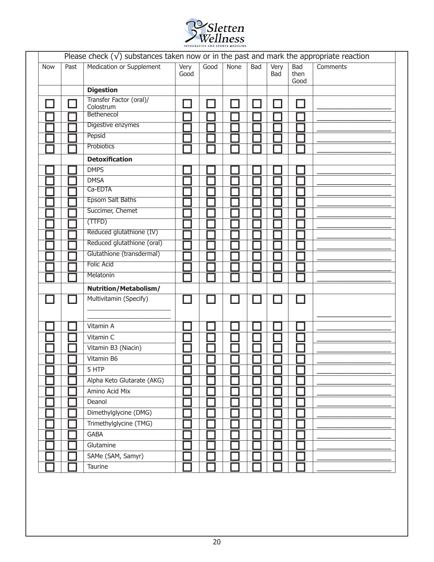

|            |      | Please check $(\sqrt{})$ substances taken now or in the past and mark the appropriate reaction |              |      |      |               |             |                            |          |
|------------|------|------------------------------------------------------------------------------------------------|--------------|------|------|---------------|-------------|----------------------------|----------|
| <b>Now</b> | Past | Medication or Supplement                                                                       | Very<br>Good | Good | None | <b>Bad</b>    | Very<br>Bad | <b>Bad</b><br>then<br>Good | Comments |
|            |      | <b>Digestion</b>                                                                               |              |      |      |               |             |                            |          |
|            |      | Transfer Factor (oral)/<br>Colostrum<br>Bethenecol                                             |              |      |      | $\mathcal{A}$ |             |                            |          |
|            |      | Digestive enzymes                                                                              |              |      |      |               |             |                            |          |
|            |      | Pepsid                                                                                         |              |      |      |               |             |                            |          |
|            |      | Probiotics                                                                                     |              |      |      |               |             |                            |          |
|            |      | <b>Detoxification</b>                                                                          |              |      |      |               |             |                            |          |
|            |      | <b>DMPS</b>                                                                                    |              |      |      |               |             |                            |          |
|            |      | <b>DMSA</b>                                                                                    |              |      |      |               |             |                            |          |
|            |      | Ca-EDTA                                                                                        |              |      |      |               |             |                            |          |
|            |      | <b>Epsom Salt Baths</b>                                                                        |              |      |      |               |             |                            |          |
|            |      | Succimer, Chemet                                                                               |              |      |      |               |             |                            |          |
|            |      | (TTFD)                                                                                         |              |      |      |               |             |                            |          |
|            |      | Reduced glutathione (IV)                                                                       |              |      |      |               |             |                            |          |
|            |      | Reduced glutathione (oral)                                                                     |              |      |      |               |             |                            |          |
|            |      | Glutathione (transdermal)                                                                      |              |      |      |               |             |                            |          |
|            |      | <b>Folic Acid</b>                                                                              |              |      |      |               |             |                            |          |
|            |      | Melatonin                                                                                      |              |      |      |               |             |                            |          |
|            |      | Nutrition/Metabolism/                                                                          |              |      |      |               |             |                            |          |
|            |      | Multivitamin (Specify)                                                                         |              |      |      |               |             |                            |          |
|            |      |                                                                                                |              |      |      |               |             |                            |          |
|            |      |                                                                                                |              |      |      |               |             |                            |          |
|            |      | Vitamin A                                                                                      |              |      |      |               |             |                            |          |
|            |      | Vitamin C                                                                                      |              |      |      |               |             |                            |          |
|            |      | Vitamin B3 (Niacin)                                                                            |              |      |      |               |             |                            |          |
|            |      | Vitamin B6                                                                                     |              |      |      |               |             |                            |          |
|            |      | 5 HTP                                                                                          | г            | г    |      |               | ┍           | ┍                          |          |
|            |      | Alpha Keto Glutarate (AKG)                                                                     |              |      |      |               |             |                            |          |
|            |      | Amino Acid Mix                                                                                 |              |      |      |               |             |                            |          |
|            |      | Deanol                                                                                         |              |      |      |               |             |                            |          |
|            |      | Dimethylglycine (DMG)                                                                          |              |      |      |               |             |                            |          |
|            |      | Trimethylglycine (TMG)                                                                         |              |      |      |               |             |                            |          |
|            |      | <b>GABA</b>                                                                                    |              |      |      |               |             |                            |          |
|            |      | Glutamine                                                                                      |              |      |      |               |             |                            |          |
|            |      | SAMe (SAM, Samyr)                                                                              |              |      |      |               |             |                            |          |
|            |      | Taurine                                                                                        |              |      |      |               |             |                            |          |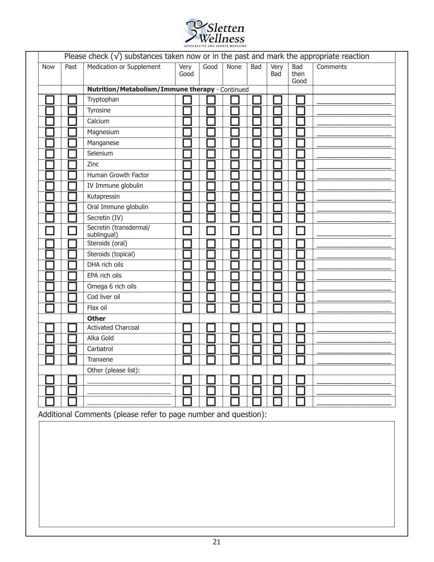

|            |      | Please check $(\sqrt{})$ substances taken now or in the past and mark the appropriate reaction |              |      |             |            |                    |                            |          |
|------------|------|------------------------------------------------------------------------------------------------|--------------|------|-------------|------------|--------------------|----------------------------|----------|
| <b>Now</b> | Past | <b>Medication or Supplement</b>                                                                | Very<br>Good | Good | <b>None</b> | <b>Bad</b> | Very<br><b>Bad</b> | <b>Bad</b><br>then<br>Good | Comments |
|            |      | Nutrition/Metabolism/Immune therapy - Continued                                                |              |      |             |            |                    |                            |          |
|            |      | Tryptophan                                                                                     |              |      |             |            |                    |                            |          |
|            |      | Tyrosine                                                                                       |              |      |             |            |                    |                            |          |
|            |      | Calcium                                                                                        |              |      |             |            |                    |                            |          |
|            |      | Magnesium                                                                                      |              |      |             |            |                    |                            |          |
|            |      | Manganese                                                                                      |              |      |             |            |                    |                            |          |
|            |      | Selenium                                                                                       |              |      |             |            |                    |                            |          |
|            |      | Zinc                                                                                           |              |      |             |            |                    |                            |          |
|            |      | Human Growth Factor                                                                            |              |      |             |            |                    |                            |          |
|            |      | IV Immune globulin                                                                             |              |      |             |            |                    |                            |          |
|            |      | Kutapressin                                                                                    |              |      |             |            |                    |                            |          |
|            |      | Oral Immune globulin                                                                           |              |      |             |            |                    |                            |          |
|            |      | Secretin (IV)                                                                                  |              |      |             |            |                    |                            |          |
|            |      | Secretin (transdermal/<br>sublingual)                                                          |              |      |             |            |                    |                            |          |
|            |      | Steroids (oral)                                                                                |              |      |             |            |                    |                            |          |
|            |      | Steroids (topical)                                                                             |              |      |             |            |                    |                            |          |
|            |      | DHA rich oils                                                                                  |              |      |             |            |                    |                            |          |
|            |      | EPA rich oils                                                                                  |              |      |             |            |                    |                            |          |
|            |      | Omega 6 rich oils                                                                              |              |      |             |            |                    |                            |          |
|            |      | Cod liver oil                                                                                  |              |      |             |            |                    |                            |          |
|            |      | Flax oil                                                                                       |              |      |             |            |                    |                            |          |
|            |      | <b>Other</b>                                                                                   |              |      |             |            |                    |                            |          |
|            |      | <b>Activated Charcoal</b>                                                                      |              |      |             |            |                    |                            |          |
|            |      | Alka Gold                                                                                      |              |      |             |            |                    |                            |          |
|            |      | Carbatrol                                                                                      |              |      |             |            |                    |                            |          |
|            |      | Tranxene                                                                                       |              |      |             |            |                    |                            |          |
|            |      | Other (please list):                                                                           |              |      |             |            |                    |                            |          |
|            |      |                                                                                                |              |      |             |            |                    |                            |          |
|            |      |                                                                                                |              |      |             |            |                    |                            |          |
|            |      |                                                                                                |              |      |             |            |                    |                            |          |

Additional Comments (please refer to page number and question):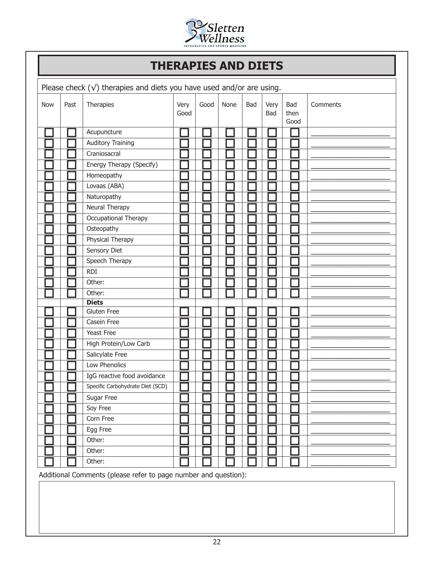

### **THERAPIES AND DIETS**

| <b>Now</b> | Past | Therapies                        | Very<br>Good | Good | None | Bad | Very<br>Bad | Bad<br>then<br>Good | Comments |
|------------|------|----------------------------------|--------------|------|------|-----|-------------|---------------------|----------|
|            |      | Acupuncture                      |              |      |      |     |             |                     |          |
|            |      | <b>Auditory Training</b>         |              |      |      |     |             |                     |          |
|            |      | Craniosacral                     |              |      |      |     |             |                     |          |
|            |      | Energy Therapy (Specify)         |              |      |      |     |             |                     |          |
|            |      | Homeopathy                       |              |      |      |     |             |                     |          |
|            |      | Lovaas (ABA)                     |              |      |      |     |             |                     |          |
|            |      | Naturopathy                      |              |      |      |     |             |                     |          |
|            |      | Neural Therapy                   |              |      |      |     |             |                     |          |
|            |      | Occupational Therapy             |              |      |      |     |             |                     |          |
|            |      | Osteopathy                       |              |      |      |     |             |                     |          |
|            |      | Physical Therapy                 |              |      |      |     |             |                     |          |
|            |      | Sensory Diet                     |              |      |      |     |             |                     |          |
|            |      | Speech Therapy                   |              |      |      |     |             |                     |          |
|            |      | <b>RDI</b>                       |              |      |      |     |             |                     |          |
|            |      | Other:                           |              |      |      |     |             |                     |          |
|            |      | Other:                           |              |      |      |     |             |                     |          |
|            |      | <b>Diets</b>                     |              |      |      |     |             |                     |          |
|            |      | <b>Gluten Free</b>               |              |      |      |     |             |                     |          |
|            |      | Casein Free                      |              |      |      |     |             |                     |          |
|            |      | Yeast Free                       |              |      |      |     |             |                     |          |
|            |      | High Protein/Low Carb            |              |      |      |     |             |                     |          |
|            |      | Salicylate Free                  |              |      |      |     |             |                     |          |
|            |      | Low Phenolics                    |              |      |      |     |             |                     |          |
|            |      | IgG reactive food avoidance      |              |      |      |     |             |                     |          |
|            |      | Specific Carbohydrate Diet (SCD) |              |      |      |     |             |                     |          |
|            |      | Sugar Free                       |              |      |      |     |             |                     |          |
|            |      | Soy Free                         |              |      |      |     |             |                     |          |
|            |      | Corn Free                        |              |      |      |     |             |                     |          |
|            |      | Egg Free                         |              |      |      |     |             |                     |          |
|            |      | Other:                           |              |      |      |     |             |                     |          |
|            |      | Other:                           |              |      |      |     |             |                     |          |
|            |      | Other:                           |              |      |      |     |             |                     |          |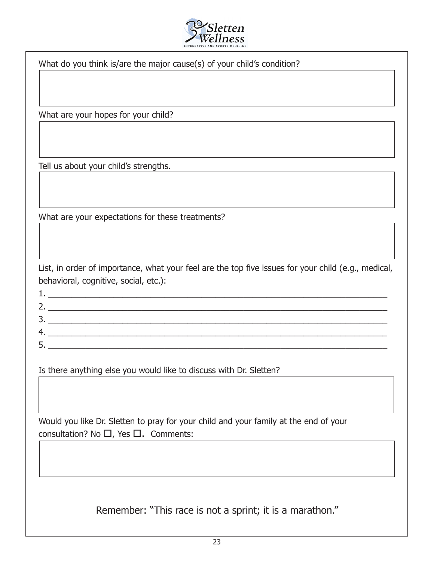

What do you think is/are the major cause(s) of your child's condition?

What are your hopes for your child?

Tell us about your child's strengths.

What are your expectations for these treatments?

List, in order of importance, what your feel are the top five issues for your child (e.g., medical, behavioral, cognitive, social, etc.):

1.  $\_\_\_\_\_\_\_\_\_$ 

Is there anything else you would like to discuss with Dr. Sletten?

4. \_\_\_\_\_\_\_\_\_\_\_\_\_\_\_\_\_\_\_\_\_\_\_\_\_\_\_\_\_\_\_\_\_\_\_\_\_\_\_\_\_\_\_\_\_\_\_\_\_\_\_\_\_\_\_\_\_\_\_\_\_\_\_\_\_\_\_\_\_\_\_\_\_ 5. \_\_\_\_\_\_\_\_\_\_\_\_\_\_\_\_\_\_\_\_\_\_\_\_\_\_\_\_\_\_\_\_\_\_\_\_\_\_\_\_\_\_\_\_\_\_\_\_\_\_\_\_\_\_\_\_\_\_\_\_\_\_\_\_\_\_\_\_\_\_\_\_\_

2. \_\_\_\_\_\_\_\_\_\_\_\_\_\_\_\_\_\_\_\_\_\_\_\_\_\_\_\_\_\_\_\_\_\_\_\_\_\_\_\_\_\_\_\_\_\_\_\_\_\_\_\_\_\_\_\_\_\_\_\_\_\_\_\_\_\_\_\_\_\_\_\_\_ 3. \_\_\_\_\_\_\_\_\_\_\_\_\_\_\_\_\_\_\_\_\_\_\_\_\_\_\_\_\_\_\_\_\_\_\_\_\_\_\_\_\_\_\_\_\_\_\_\_\_\_\_\_\_\_\_\_\_\_\_\_\_\_\_\_\_\_\_\_\_\_\_\_\_

Would you like Dr. Sletten to pray for your child and your family at the end of your consultation? No  $\Box$ , Yes  $\Box$ . Comments:

Remember: "This race is not a sprint; it is a marathon."